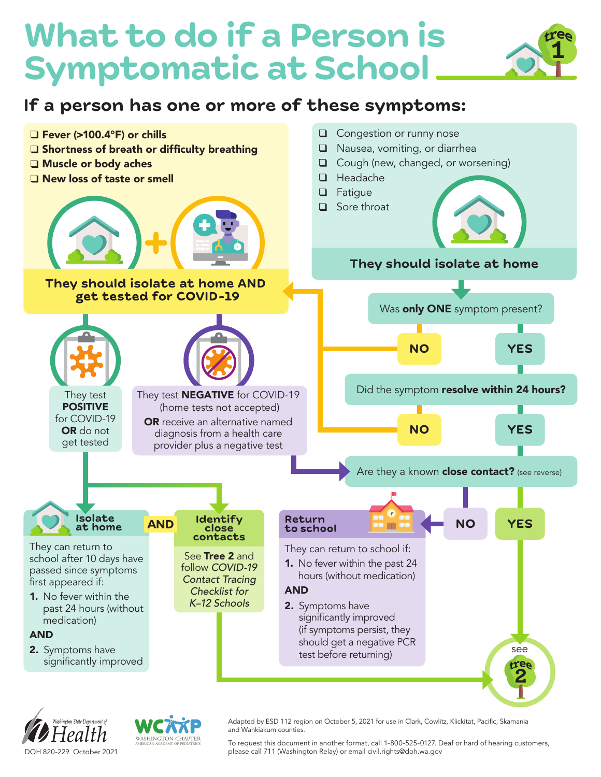## **What to do if a Person is Symptomatic at School**

## **If a person has one or more of these symptoms:**







Adapted by ESD 112 region on October 5, 2021 for use in Clark, Cowlitz, Klickitat, Pacific, Skamania and Wahkiakum counties.

To request this document in another format, call 1-800-525-0127. Deaf or hard of hearing customers, please call 711 (Washington Relay) or email civil.rights@doh.wa.gov